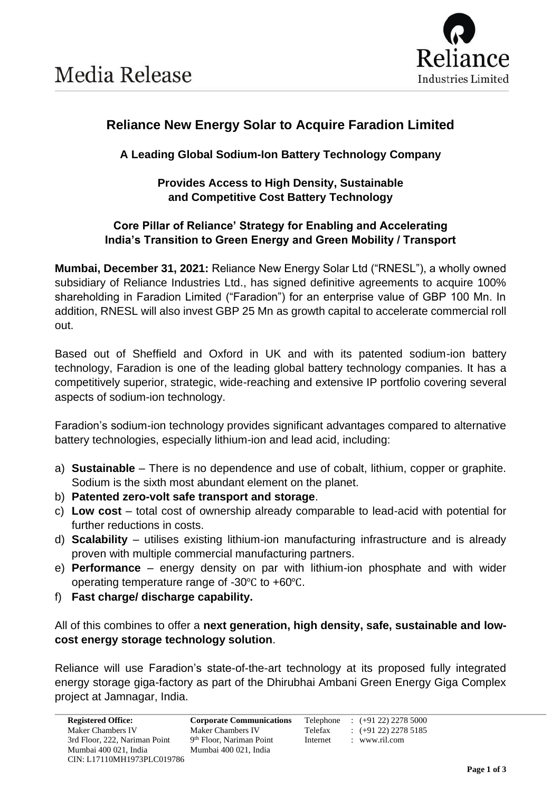

## **Reliance New Energy Solar to Acquire Faradion Limited**

### **A Leading Global Sodium-Ion Battery Technology Company**

#### **Provides Access to High Density, Sustainable and Competitive Cost Battery Technology**

#### **Core Pillar of Reliance' Strategy for Enabling and Accelerating India's Transition to Green Energy and Green Mobility / Transport**

**Mumbai, December 31, 2021:** Reliance New Energy Solar Ltd ("RNESL"), a wholly owned subsidiary of Reliance Industries Ltd., has signed definitive agreements to acquire 100% shareholding in Faradion Limited ("Faradion") for an enterprise value of GBP 100 Mn. In addition, RNESL will also invest GBP 25 Mn as growth capital to accelerate commercial roll out.

Based out of Sheffield and Oxford in UK and with its patented sodium-ion battery technology, Faradion is one of the leading global battery technology companies. It has a competitively superior, strategic, wide-reaching and extensive IP portfolio covering several aspects of sodium-ion technology.

Faradion's sodium-ion technology provides significant advantages compared to alternative battery technologies, especially lithium-ion and lead acid, including:

- a) **Sustainable** There is no dependence and use of cobalt, lithium, copper or graphite. Sodium is the sixth most abundant element on the planet.
- b) **Patented zero-volt safe transport and storage**.
- c) **Low cost** total cost of ownership already comparable to lead-acid with potential for further reductions in costs.
- d) **Scalability** utilises existing lithium-ion manufacturing infrastructure and is already proven with multiple commercial manufacturing partners.
- e) **Performance** energy density on par with lithium-ion phosphate and with wider operating temperature range of -30℃ to +60℃.
- f) **Fast charge/ discharge capability.**

All of this combines to offer a **next generation, high density, safe, sustainable and lowcost energy storage technology solution**.

Reliance will use Faradion's state-of-the-art technology at its proposed fully integrated energy storage giga-factory as part of the Dhirubhai Ambani Green Energy Giga Complex project at Jamnagar, India.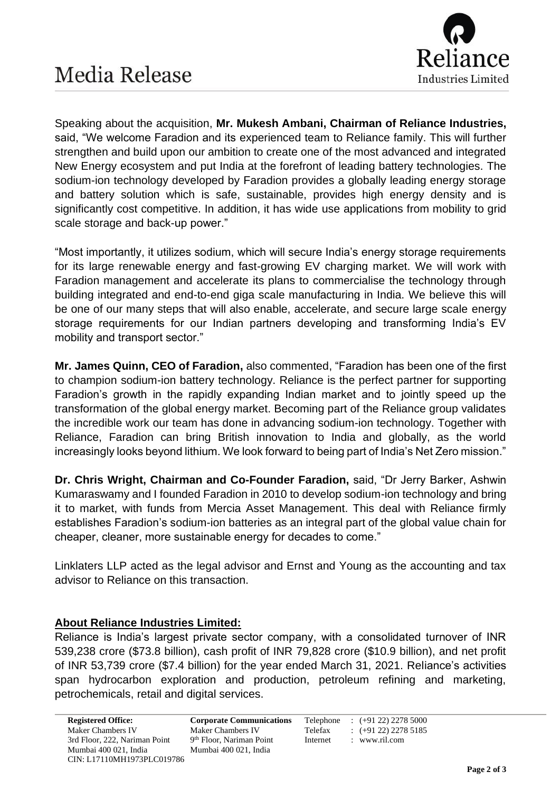

Speaking about the acquisition, **Mr. Mukesh Ambani, Chairman of Reliance Industries,** said, "We welcome Faradion and its experienced team to Reliance family. This will further strengthen and build upon our ambition to create one of the most advanced and integrated New Energy ecosystem and put India at the forefront of leading battery technologies. The sodium-ion technology developed by Faradion provides a globally leading energy storage and battery solution which is safe, sustainable, provides high energy density and is significantly cost competitive. In addition, it has wide use applications from mobility to grid scale storage and back-up power."

"Most importantly, it utilizes sodium, which will secure India's energy storage requirements for its large renewable energy and fast-growing EV charging market. We will work with Faradion management and accelerate its plans to commercialise the technology through building integrated and end-to-end giga scale manufacturing in India. We believe this will be one of our many steps that will also enable, accelerate, and secure large scale energy storage requirements for our Indian partners developing and transforming India's EV mobility and transport sector."

**Mr. James Quinn, CEO of Faradion,** also commented, "Faradion has been one of the first to champion sodium-ion battery technology. Reliance is the perfect partner for supporting Faradion's growth in the rapidly expanding Indian market and to jointly speed up the transformation of the global energy market. Becoming part of the Reliance group validates the incredible work our team has done in advancing sodium-ion technology. Together with Reliance, Faradion can bring British innovation to India and globally, as the world increasingly looks beyond lithium. We look forward to being part of India's Net Zero mission."

**Dr. Chris Wright, Chairman and Co-Founder Faradion,** said, "Dr Jerry Barker, Ashwin Kumaraswamy and I founded Faradion in 2010 to develop sodium-ion technology and bring it to market, with funds from Mercia Asset Management. This deal with Reliance firmly establishes Faradion's sodium-ion batteries as an integral part of the global value chain for cheaper, cleaner, more sustainable energy for decades to come."

Linklaters LLP acted as the legal advisor and Ernst and Young as the accounting and tax advisor to Reliance on this transaction.

#### **About Reliance Industries Limited:**

Reliance is India's largest private sector company, with a consolidated turnover of INR 539,238 crore (\$73.8 billion), cash profit of INR 79,828 crore (\$10.9 billion), and net profit of INR 53,739 crore (\$7.4 billion) for the year ended March 31, 2021. Reliance's activities span hydrocarbon exploration and production, petroleum refining and marketing, petrochemicals, retail and digital services.

**Registered Office: Corporate Communications** Telephone : (+91 22) 2278 5000 9<sup>th</sup> Floor, Nariman Point Internet : www.ril.com